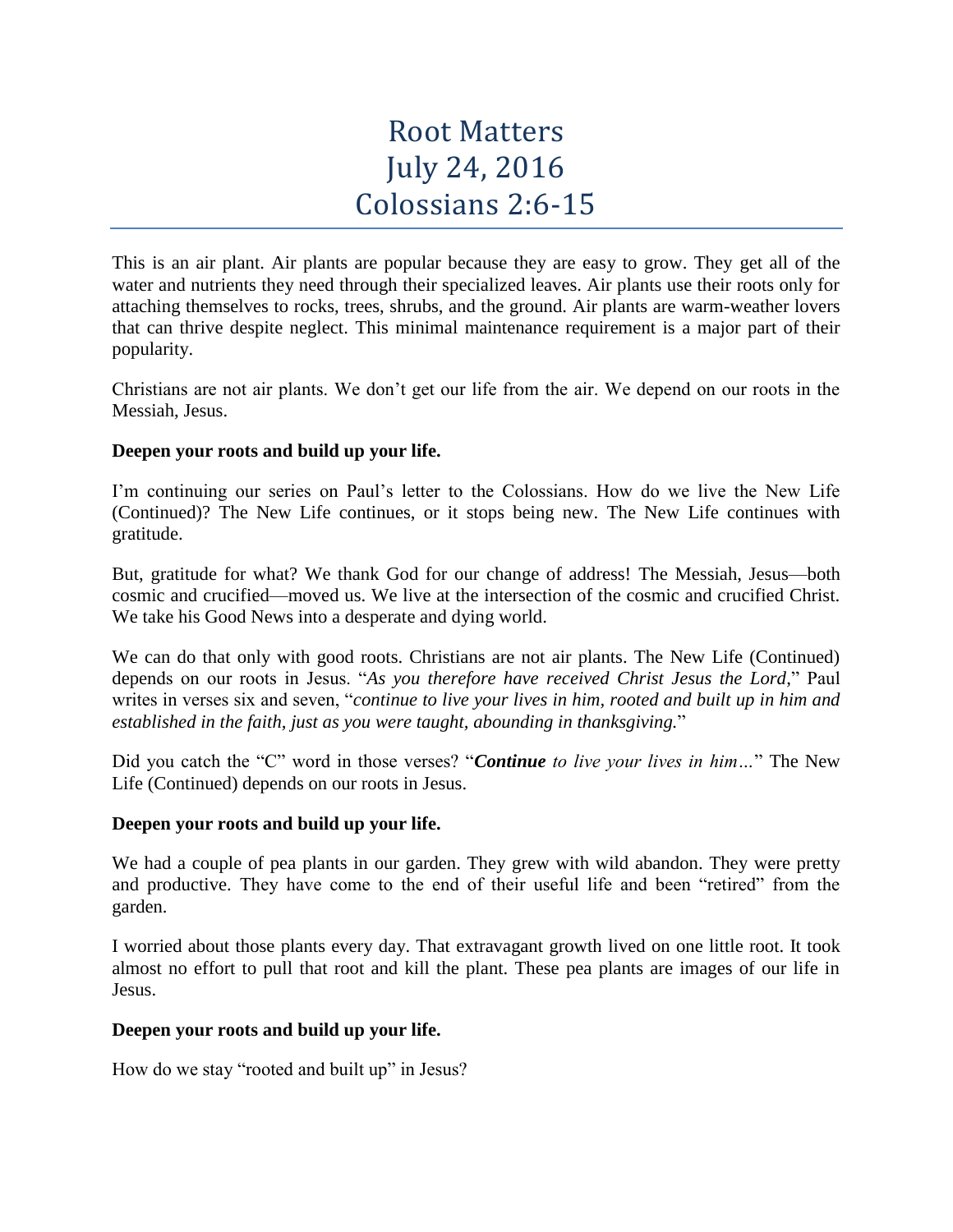# Root Matters July 24, 2016 Colossians 2:6-15

This is an air plant. Air plants are popular because they are easy to grow. They get all of the water and nutrients they need through their specialized leaves. Air plants use their roots only for attaching themselves to rocks, trees, shrubs, and the ground. Air plants are warm-weather lovers that can thrive despite neglect. This minimal maintenance requirement is a major part of their popularity.

Christians are not air plants. We don't get our life from the air. We depend on our roots in the Messiah, Jesus.

## **Deepen your roots and build up your life.**

I'm continuing our series on Paul's letter to the Colossians. How do we live the New Life (Continued)? The New Life continues, or it stops being new. The New Life continues with gratitude.

But, gratitude for what? We thank God for our change of address! The Messiah, Jesus—both cosmic and crucified—moved us. We live at the intersection of the cosmic and crucified Christ. We take his Good News into a desperate and dying world.

We can do that only with good roots. Christians are not air plants. The New Life (Continued) depends on our roots in Jesus. "*As you therefore have received Christ Jesus the Lord*," Paul writes in verses six and seven, "*continue to live your lives in him, rooted and built up in him and established in the faith, just as you were taught, abounding in thanksgiving.*"

Did you catch the "C" word in those verses? "*Continue to live your lives in him…*" The New Life (Continued) depends on our roots in Jesus.

## **Deepen your roots and build up your life.**

We had a couple of pea plants in our garden. They grew with wild abandon. They were pretty and productive. They have come to the end of their useful life and been "retired" from the garden.

I worried about those plants every day. That extravagant growth lived on one little root. It took almost no effort to pull that root and kill the plant. These pea plants are images of our life in Jesus.

## **Deepen your roots and build up your life.**

How do we stay "rooted and built up" in Jesus?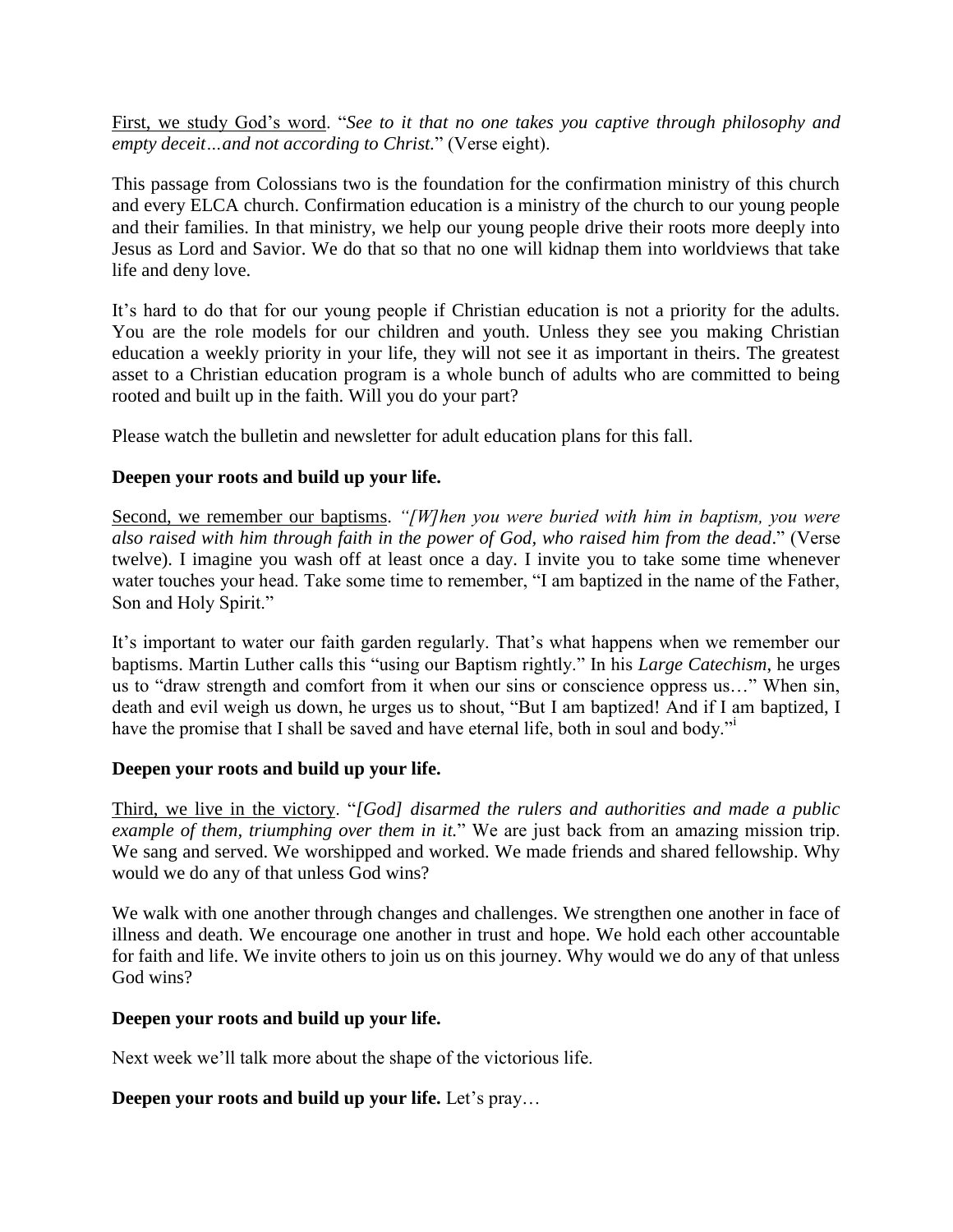First, we study God's word. "*See to it that no one takes you captive through philosophy and empty deceit…and not according to Christ.*" (Verse eight).

This passage from Colossians two is the foundation for the confirmation ministry of this church and every ELCA church. Confirmation education is a ministry of the church to our young people and their families. In that ministry, we help our young people drive their roots more deeply into Jesus as Lord and Savior. We do that so that no one will kidnap them into worldviews that take life and deny love.

It's hard to do that for our young people if Christian education is not a priority for the adults. You are the role models for our children and youth. Unless they see you making Christian education a weekly priority in your life, they will not see it as important in theirs. The greatest asset to a Christian education program is a whole bunch of adults who are committed to being rooted and built up in the faith. Will you do your part?

Please watch the bulletin and newsletter for adult education plans for this fall.

## **Deepen your roots and build up your life.**

Second, we remember our baptisms. *"[W]hen you were buried with him in baptism, you were also raised with him through faith in the power of God, who raised him from the dead*." (Verse twelve). I imagine you wash off at least once a day. I invite you to take some time whenever water touches your head. Take some time to remember, "I am baptized in the name of the Father, Son and Holy Spirit."

It's important to water our faith garden regularly. That's what happens when we remember our baptisms. Martin Luther calls this "using our Baptism rightly." In his *Large Catechism*, he urges us to "draw strength and comfort from it when our sins or conscience oppress us…" When sin, death and evil weigh us down, he urges us to shout, "But I am baptized! And if I am baptized, I have the promise that I shall be saved and have eternal life, both in soul and body."

# **Deepen your roots and build up your life.**

Third, we live in the victory. "*[God] disarmed the rulers and authorities and made a public example of them, triumphing over them in it.*" We are just back from an amazing mission trip. We sang and served. We worshipped and worked. We made friends and shared fellowship. Why would we do any of that unless God wins?

We walk with one another through changes and challenges. We strengthen one another in face of illness and death. We encourage one another in trust and hope. We hold each other accountable for faith and life. We invite others to join us on this journey. Why would we do any of that unless God wins?

## **Deepen your roots and build up your life.**

Next week we'll talk more about the shape of the victorious life.

# **Deepen your roots and build up your life.** Let's pray…